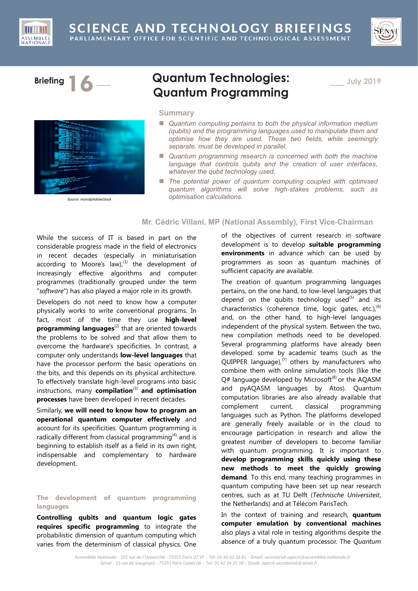





*Source: monsitj/AdobeStock*

# **Briefing 16** \_\_\_ **Quantum Technologies: Quantum Programming**

\_\_\_ **July 2019**

# **Summary**

- *Quantum computing pertains to both the physical information medium (qubits) and the programming languages used to manipulate them and optimise how they are used. These two fields, while seemingly separate, must be developed in parallel.*
- *Quantum programming research is concerned with both the machine language that controls qubits and the creation of user interfaces, whatever the qubit technology used.*
- *The potential power of quantum computing coupled with optimised quantum algorithms will solve high-stakes problems, such as optimisation calculations.*

# **Mr. Cédric Villani, MP (National Assembly), First Vice-Chairman**

While the success of IT is based in part on the considerable progress made in the field of electronics in recent decades (especially in miniaturisation according to Moore's law), $^{(1)}$  the development of increasingly effective algorithms and computer programmes (traditionally grouped under the term "*software*") has also played a major role in its growth.

Developers do not need to know how a computer physically works to write conventional programs. In fact, most of the time they use **high-level programming languages**<sup>(2)</sup> that are oriented towards the problems to be solved and that allow them to overcome the hardware's specificities. In contrast, a computer only understands **low-level languages** that have the processor perform the basic operations on the bits, and this depends on its physical architecture. To effectively translate high-level programs into basic instructions, many **compilation**<sup>(3)</sup> and **optimisation processes** have been developed in recent decades.

Similarly, **we will need to know how to program an operational quantum computer effectively** and account for its specificities. Quantum programming is radically different from classical programming $(4)$  and is beginning to establish itself as a field in its own right, indispensable and complementary to hardware development.

## **The development of quantum programming languages**

**Controlling qubits and quantum logic gates requires specific programming** to integrate the probabilistic dimension of quantum computing which varies from the determinism of classical physics. One

of the objectives of current research in software development is to develop **suitable programming environments** in advance which can be used by programmers as soon as quantum machines of sufficient capacity are available.

The creation of quantum programming languages pertains, on the one hand, to low-level languages that depend on the qubits technology used $^{(5)}$  and its characteristics (coherence time, logic gates, etc.),<sup>(6)</sup> and, on the other hand, to high-level languages independent of the physical system. Between the two, new compilation methods need to be developed. Several programming platforms have already been developed: some by academic teams (such as the QUIPPER language), $^{(7)}$  others by manufacturers who combine them with online simulation tools (like the  $Q#$  language developed by Microsoft<sup>(8)</sup> or the AQASM and pyAQASM languages by Atos). Quantum computation libraries are also already available that complement current, classical programming languages such as Python. The platforms developed are generally freely available or in the cloud to encourage participation in research and allow the greatest number of developers to become familiar with quantum programming. It is important to **develop programming skills quickly using these new methods to meet the quickly growing demand**. To this end, many teaching programmes in quantum computing have been set up near research centres, such as at TU Delft (*Technische Universiteit*, the Netherlands) and at Télécom ParisTech.

In the context of training and research, **quantum computer emulation by conventional machines** also plays a vital role in testing algorithms despite the absence of a truly quantum processor. The *Quantum*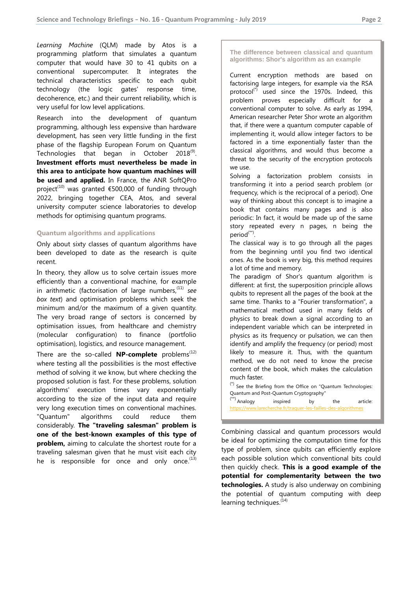*Learning Machine* (QLM) made by Atos is a programming platform that simulates a quantum computer that would have 30 to 41 qubits on a conventional supercomputer. It integrates the technical characteristics specific to each qubit technology (the logic gates' response time, decoherence, etc.) and their current reliability, which is very useful for low level applications.

Research into the development of quantum programming, although less expensive than hardware development, has seen very little funding in the first phase of the flagship European Forum on Quantum Technologies that began in October 2018<sup>(9)</sup>. **Investment efforts must nevertheless be made in this area to anticipate how quantum machines will be used and applied.** In France, the ANR SoftQPro project<sup>(10)</sup> was granted  $\epsilon$ 500,000 of funding through 2022, bringing together CEA, Atos, and several university computer science laboratories to develop methods for optimising quantum programs.

#### **Quantum algorithms and applications**

Only about sixty classes of quantum algorithms have been developed to date as the research is quite recent.

In theory, they allow us to solve certain issues more efficiently than a conventional machine, for example in arithmetic (factorisation of large numbers,<sup>(11)</sup> see *box text*) and optimisation problems which seek the minimum and/or the maximum of a given quantity. The very broad range of sectors is concerned by optimisation issues, from healthcare and chemistry (molecular configuration) to finance (portfolio optimisation), logistics, and resource management.

There are the so-called **NP-complete** problems<sup> $(12)$ </sup> where testing all the possibilities is the most effective method of solving it we know, but where checking the proposed solution is fast. For these problems, solution algorithms' execution times vary exponentially according to the size of the input data and require very long execution times on conventional machines. "Quantum" algorithms could reduce them considerably. **The "traveling salesman" problem is one of the best-known examples of this type of problem,** aiming to calculate the shortest route for a traveling salesman given that he must visit each city he is responsible for once and only once.<sup>(13)</sup>

### **The difference between classical and quantum algorithms: Shor's algorithm as an example**

Current encryption methods are based on factorising large integers, for example via the RSA protocol $(3)$  used since the 1970s. Indeed, this problem proves especially difficult for a conventional computer to solve. As early as 1994, American researcher Peter Shor wrote an algorithm that, if there were a quantum computer capable of implementing it, would allow integer factors to be factored in a time exponentially faster than the classical algorithms, and would thus become a threat to the security of the encryption protocols we use.

Solving a factorization problem consists in transforming it into a period search problem (or frequency, which is the reciprocal of a period). One way of thinking about this concept is to imagine a book that contains many pages and is also periodic: In fact, it would be made up of the same story repeated every n pages, n being the period<sup>(\*\*)</sup>.

The classical way is to go through all the pages from the beginning until you find two identical ones. As the book is very big, this method requires a lot of time and memory.

The paradigm of Shor's quantum algorithm is different: at first, the superposition principle allows qubits to represent all the pages of the book at the same time. Thanks to a "Fourier transformation", a mathematical method used in many fields of physics to break down a signal according to an [independent variable](https://fr.wikipedia.org/wiki/Variable_indépendante) which can be interpreted in physics as its [frequency](https://en.wikipedia.org/wiki/Frequency) or [pulsation,](https://en.wikipedia.org/wiki/Angular_velocity) we can then identify and amplify the frequency (or period) most likely to measure it. Thus, with the quantum method, we do not need to know the precise content of the book, which makes the calculation much faster.

(\*) See the Briefing from the Office on "Quantum Technologies: Quantum and Post-Quantum Cryptography"

 $(**)$  Analogy inspired by the article: <https://www.larecherche.fr/traquer-les-failles-des-algorithmes>

Combining classical and quantum processors would be ideal for optimizing the computation time for this type of problem, since qubits can efficiently explore each possible solution which conventional bits could then quickly check. **This is a good example of the potential for complementarity between the two technologies.** A study is also underway on combining the potential of quantum computing with deep learning techniques. $(14)$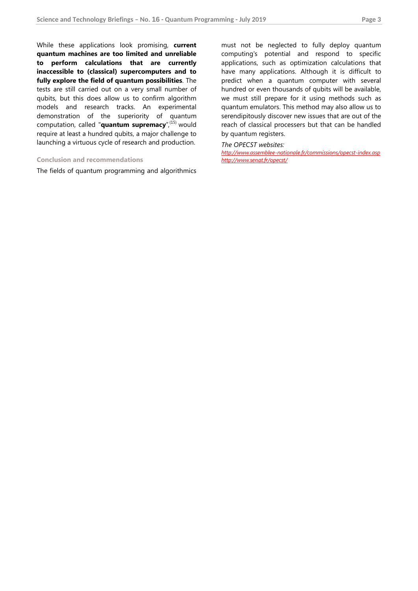While these applications look promising, **current quantum machines are too limited and unreliable to perform calculations that are currently inaccessible to (classical) supercomputers and to fully explore the field of quantum possibilities**. The tests are still carried out on a very small number of qubits, but this does allow us to confirm algorithm models and research tracks. An experimental demonstration of the superiority of quantum computation, called "**quantum supremacy**",(15) would require at least a hundred qubits, a major challenge to launching a virtuous cycle of research and production.

## **Conclusion and recommendations**

The fields of quantum programming and algorithmics

must not be neglected to fully deploy quantum computing's potential and respond to specific applications, such as optimization calculations that have many applications. Although it is difficult to predict when a quantum computer with several hundred or even thousands of qubits will be available, we must still prepare for it using methods such as quantum emulators. This method may also allow us to serendipitously discover new issues that are out of the reach of classical processers but that can be handled by quantum registers.

## *The OPECST websites:*

*<http://www.assemblee-nationale.fr/commissions/opecst-index.asp> <http://www.senat.fr/opecst/>*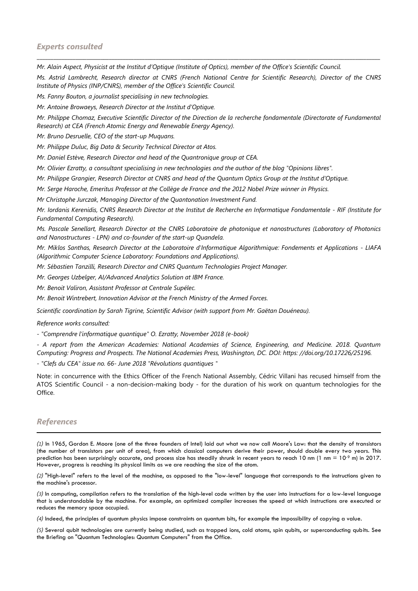*Mr. Alain Aspect, Physicist at the Institut d'Optique (Institute of Optics), member of the Office's Scientific Council.*

*Ms. Astrid Lambrecht, Research director at CNRS (French National Centre for Scientific Research), Director of the CNRS Institute of Physics (INP/CNRS), member of the Office's Scientific Council.*

\_\_\_\_\_\_\_\_\_\_\_\_\_\_\_\_\_\_\_\_\_\_\_\_\_\_\_\_\_\_\_\_\_\_\_\_\_\_\_\_\_\_\_\_\_\_\_\_\_\_\_\_\_\_\_\_\_\_\_\_\_\_\_\_\_\_\_\_\_\_\_\_\_\_\_\_\_\_\_\_\_\_\_\_\_\_\_\_\_\_\_\_\_\_\_\_\_\_\_\_\_\_\_\_\_\_\_\_\_\_\_\_\_\_\_\_\_\_\_\_\_\_\_\_

*Ms. Fanny Bouton, a journalist specialising in new technologies.*

*Mr. Antoine Browaeys, Research Director at the Institut d'Optique.*

*Mr. Philippe Chomaz, Executive Scientific Director of the Direction de la recherche fondamentale (Directorate of Fundamental Research) at CEA (French Atomic Energy and Renewable Energy Agency).*

*Mr. Bruno Desruelle, CEO of the start-up Muquans.*

*Mr. Philippe Duluc, Big Data & Security Technical Director at Atos.*

*Mr. Daniel Estève, Research Director and head of the Quantronique group at CEA.*

*Mr. Olivier Ezratty, a consultant specialising in new technologies and the author of the blog "Opinions libres".*

*Mr. Philippe Grangier, Research Director at CNRS and head of the Quantum Optics Group at the Institut d'Optique.*

*Mr. Serge Haroche, Emeritus Professor at the Collège de France and the 2012 Nobel Prize winner in Physics.*

*Mr Christophe Jurczak, Managing Director of the Quantonation Investment Fund.*

*Mr. Iordanis Kerenidis, CNRS Research Director at the Institut de Recherche en Informatique Fondamentale - RIF (Institute for Fundamental Computing Research).*

*Ms. Pascale Senellart, Research Director at the CNRS Laboratoire de photonique et nanostructures (Laboratory of Photonics and Nanostructures - LPN) and co-founder of the start-up Quandela.*

*Mr. Miklos Santhas, Research Director at the Laboratoire d'Informatique Algorithmique: Fondements et Applications - LIAFA (Algorithmic Computer Science Laboratory: Foundations and Applications).*

*Mr. Sébastien Tanzilli, Research Director and CNRS Quantum Technologies Project Manager.*

*Mr. Georges Uzbelger, AI/Advanced Analytics Solution at IBM France.*

*Mr. Benoit Valiron, Assistant Professor at Centrale Supélec.*

*Mr. Benoit Wintrebert, Innovation Advisor at the French Ministry of the Armed Forces.*

*Scientific coordination by Sarah Tigrine, Scientific Advisor (with support from Mr. Gaëtan Douéneau).*

*Reference works consulted:*

*- "Comprendre l'informatique quantique" O. Ezratty, November 2018 (e-book)*

*- A report from the American Academies: National Academies of Science, Engineering, and Medicine. 2018. Quantum Computing: Progress and Prospects. The National Academies Press, Washington, DC. DOI: https: //doi.org/10.17226/25196.*

*- "Clefs du CEA" issue no. 66- June 2018 "Révolutions quantiques "*

Note: in concurrence with the Ethics Officer of the French National Assembly, Cédric Villani has recused himself from the ATOS Scientific Council - a non-decision-making body - for the duration of his work on quantum technologies for the Office.

## *References*

-

*(1)* In 1965, Gordon E. Moore (one of the three founders of Intel) laid out what we now call Moore's Law: that the density of transistors (the number of transistors per unit of area), from which classical computers derive their power, should double every two years. This prediction has been surprisingly accurate, and process size has steadily shrunk in recent years to reach 10 nm (1 nm =  $10^{-9}$  m) in 2017. However, progress is reaching its physical limits as we are reaching the size of the atom.

*(2)* "High-level" refers to the level of the machine, as opposed to the "low-level" language that corresponds to the instructions given to the machine's processor.

*(3)* In computing, compilation refers to the translation of the high-level code written by the user into instructions for a low-level language that is understandable by the machine. For example, an optimized compiler increases the speed at which instructions are executed or reduces the memory space occupied.

*(4)* Indeed, the principles of quantum physics impose constraints on quantum bits, for example the impossibility of copying a value.

*(5)* Several qubit technologies are currently being studied, such as trapped ions, cold atoms, spin qubits, or superconducting qubits. See the Briefing on "Quantum Technologies: Quantum Computers" from the Office.